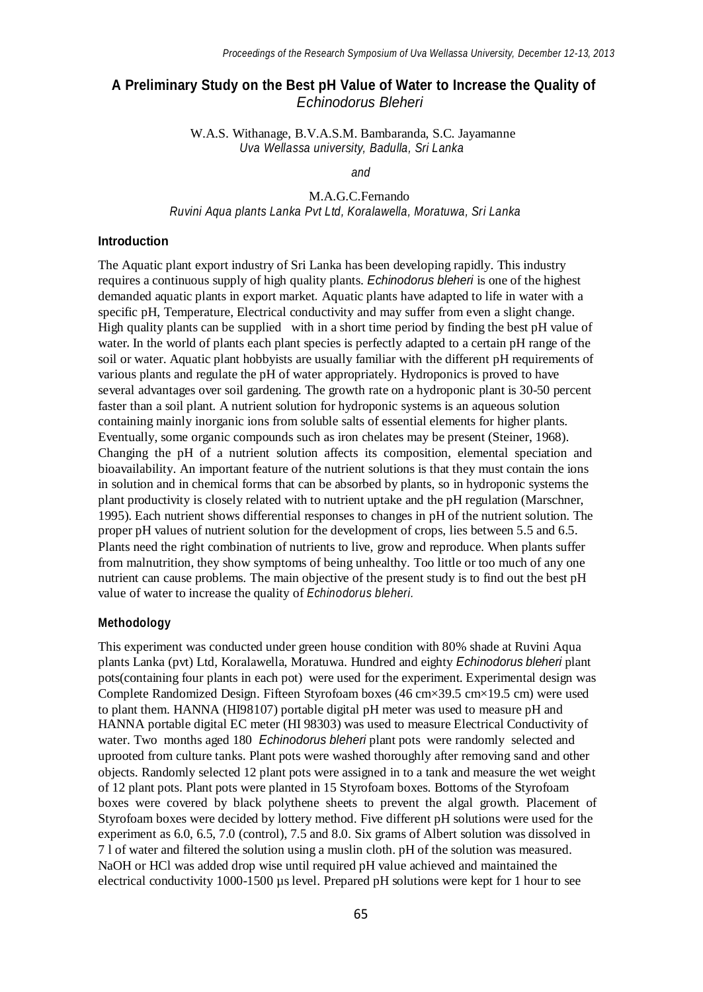# **A Preliminary Study on the Best pH Value of Water to Increase the Quality of** *Echinodorus Bleheri*

W.A.S. Withanage, B.V.A.S.M. Bambaranda, S.C. Jayamanne *Uva Wellassa university, Badulla, Sri Lanka*

*and*

M.A.G.C.Fernando *Ruvini Aqua plants Lanka Pvt Ltd, Koralawella, Moratuwa, Sri Lanka*

#### **Introduction**

The Aquatic plant export industry of Sri Lanka has been developing rapidly. This industry requires a continuous supply of high quality plants. *Echinodorus bleheri* is one of the highest demanded aquatic plants in export market*.* Aquatic plants have adapted to life in water with a specific pH, Temperature, Electrical conductivity and may suffer from even a slight change. High quality plants can be supplied with in a short time period by finding the best pH value of water. In the world of plants each plant species is perfectly adapted to a certain pH range of the soil or water. Aquatic plant hobbyists are usually familiar with the different pH requirements of various plants and regulate the pH of water appropriately. Hydroponics is proved to have several advantages over soil gardening. The growth rate on a hydroponic plant is 30-50 percent faster than a soil plant. A nutrient solution for hydroponic systems is an aqueous solution containing mainly inorganic ions from soluble salts of essential elements for higher plants. Eventually, some organic compounds such as iron chelates may be present (Steiner, 1968). Changing the pH of a nutrient solution affects its composition, elemental speciation and bioavailability. An important feature of the nutrient solutions is that they must contain the ions in solution and in chemical forms that can be absorbed by plants, so in hydroponic systems the plant productivity is closely related with to nutrient uptake and the pH regulation (Marschner, 1995). Each nutrient shows differential responses to changes in pH of the nutrient solution. The proper pH values of nutrient solution for the development of crops, lies between 5.5 and 6.5. Plants need the right combination of nutrients to live, grow and reproduce. When plants suffer from malnutrition, they show symptoms of being unhealthy. Too little or too much of any one nutrient can cause problems. The main objective of the present study is to find out the best pH value of water to increase the quality of *Echinodorus bleheri.*

#### **Methodology**

This experiment was conducted under green house condition with 80% shade at Ruvini Aqua plants Lanka (pvt) Ltd, Koralawella, Moratuwa. Hundred and eighty *Echinodorus bleheri* plant pots(containing four plants in each pot) were used for the experiment. Experimental design was Complete Randomized Design. Fifteen Styrofoam boxes (46 cm×39.5 cm×19.5 cm) were used to plant them. HANNA (HI98107) portable digital pH meter was used to measure pH and HANNA portable digital EC meter (HI 98303) was used to measure Electrical Conductivity of water. Two months aged 180 *Echinodorus bleheri* plant pots were randomly selected and uprooted from culture tanks. Plant pots were washed thoroughly after removing sand and other objects. Randomly selected 12 plant pots were assigned in to a tank and measure the wet weight of 12 plant pots. Plant pots were planted in 15 Styrofoam boxes. Bottoms of the Styrofoam boxes were covered by black polythene sheets to prevent the algal growth. Placement of Styrofoam boxes were decided by lottery method. Five different pH solutions were used for the experiment as 6.0, 6.5, 7.0 (control), 7.5 and 8.0. Six grams of Albert solution was dissolved in 7 l of water and filtered the solution using a muslin cloth. pH of the solution was measured. NaOH or HCl was added drop wise until required pH value achieved and maintained the electrical conductivity 1000-1500 µs level. Prepared pH solutions were kept for 1 hour to see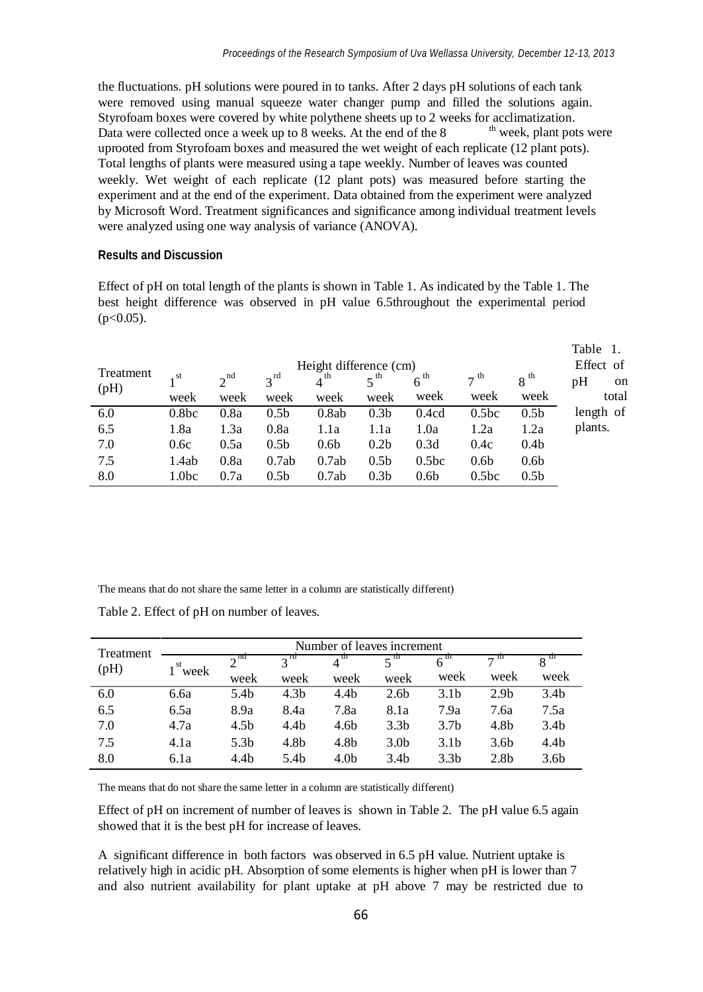Data were collected once a week up to 8 weeks. At the end of the 8 the fluctuations. pH solutions were poured in to tanks. After 2 days pH solutions of each tank were removed using manual squeeze water changer pump and filled the solutions again. Styrofoam boxes were covered by white polythene sheets up to 2 weeks for acclimatization. <sup>th</sup> week, plant pots were uprooted from Styrofoam boxes and measured the wet weight of each replicate (12 plant pots). Total lengths of plants were measured using a tape weekly. Number of leaves was counted weekly. Wet weight of each replicate (12 plant pots) was measured before starting the experiment and at the end of the experiment. Data obtained from the experiment were analyzed by Microsoft Word. Treatment significances and significance among individual treatment levels were analyzed using one way analysis of variance (ANOVA).

#### **Results and Discussion**

Effect of pH on total length of the plants is shown in Table 1. As indicated by the Table 1. The best height difference was observed in pH value 6.5throughout the experimental period  $(p<0.05)$ .

|                   | Height difference (cm) |          |                  |                  |                  |                   |                      |                  |                       |
|-------------------|------------------------|----------|------------------|------------------|------------------|-------------------|----------------------|------------------|-----------------------|
| Treatment<br>(pH) | st                     | $2^{nd}$ | $2^{rd}$         | th               |                  | $6^{th}$          | $\tau$ <sup>th</sup> | $8^{th}$         | Effect of<br>pH<br>on |
|                   | week                   | week     | week             | week             | week             | week              | week                 | week             | total                 |
| 6.0               | 0.8 <sub>bc</sub>      | 0.8a     | 0.5 <sub>b</sub> | 0.8ab            | 0.3 <sub>b</sub> | 0.4cd             | 0.5 <sub>bc</sub>    | 0.5 <sub>b</sub> | length of             |
| 6.5               | 1.8a                   | 1.3a     | 0.8a             | 1.1a             | 1.1a             | 1.0a              | 1.2a                 | 1.2a             | plants.               |
| 7.0               | 0.6c                   | 0.5a     | 0.5 <sub>b</sub> | 0.6 <sub>b</sub> | 0.2 <sub>b</sub> | 0.3d              | 0.4c                 | 0.4 <sub>b</sub> |                       |
| 7.5               | 1.4ab                  | 0.8a     | 0.7ab            | 0.7ab            | 0.5 <sub>b</sub> | 0.5 <sub>bc</sub> | 0.6 <sub>b</sub>     | 0.6 <sub>b</sub> |                       |
| 8.0               | 1.0bc                  | 0.7a     | 0.5 <sub>b</sub> | 0.7ab            | 0.3 <sub>b</sub> | 0.6 <sub>b</sub>  | 0.5 <sub>bc</sub>    | 0.5 <sub>b</sub> |                       |

The means that do not share the same letter in a column are statistically different)

Table 2. Effect of pH on number of leaves.

| Treatment<br>(pH) | Number of leaves increment |      |                  |                  |                  |                  |                  |                  |  |  |
|-------------------|----------------------------|------|------------------|------------------|------------------|------------------|------------------|------------------|--|--|
|                   | $\mathbf{r}$ st<br>week    | na   | $3^{ra}$         | m                | m                |                  |                  |                  |  |  |
|                   |                            | week | week             | week             | week             | week             | week             | week             |  |  |
| 6.0               | 6.6a                       | 5.4b | 4.3b             | 4.4b             | 2.6 <sub>b</sub> | 3.1 <sub>b</sub> | 2.9 <sub>b</sub> | 3.4 <sub>b</sub> |  |  |
| 6.5               | 6.5a                       | 8.9a | 8.4a             | 7.8a             | 8.1a             | 7.9a             | 7.6a             | 7.5a             |  |  |
| 7.0               | 4.7a                       | 4.5b | 4.4b             | 4.6b             | 3.3 <sub>b</sub> | 3.7 <sub>b</sub> | 4.8b             | 3.4 <sub>b</sub> |  |  |
| 7.5               | 4.1a                       | 5.3b | 4.8 <sub>b</sub> | 4.8b             | 3.0 <sub>b</sub> | 3.1 <sub>b</sub> | 3.6 <sub>b</sub> | 4.4 <sub>b</sub> |  |  |
| 8.0               | 6.1a                       | 4.4b | 5.4b             | 4.0 <sub>b</sub> | 3.4b             | 3.3 <sub>b</sub> | 2.8 <sub>b</sub> | 3.6 <sub>b</sub> |  |  |

The means that do not share the same letter in a column are statistically different)

Effect of pH on increment of number of leaves is shown in Table 2. The pH value 6.5 again showed that it is the best pH for increase of leaves.

A significant difference in both factors was observed in 6.5 pH value. Nutrient uptake is relatively high in acidic pH. Absorption of some elements is higher when pH is lower than 7 and also nutrient availability for plant uptake at pH above 7 may be restricted due to